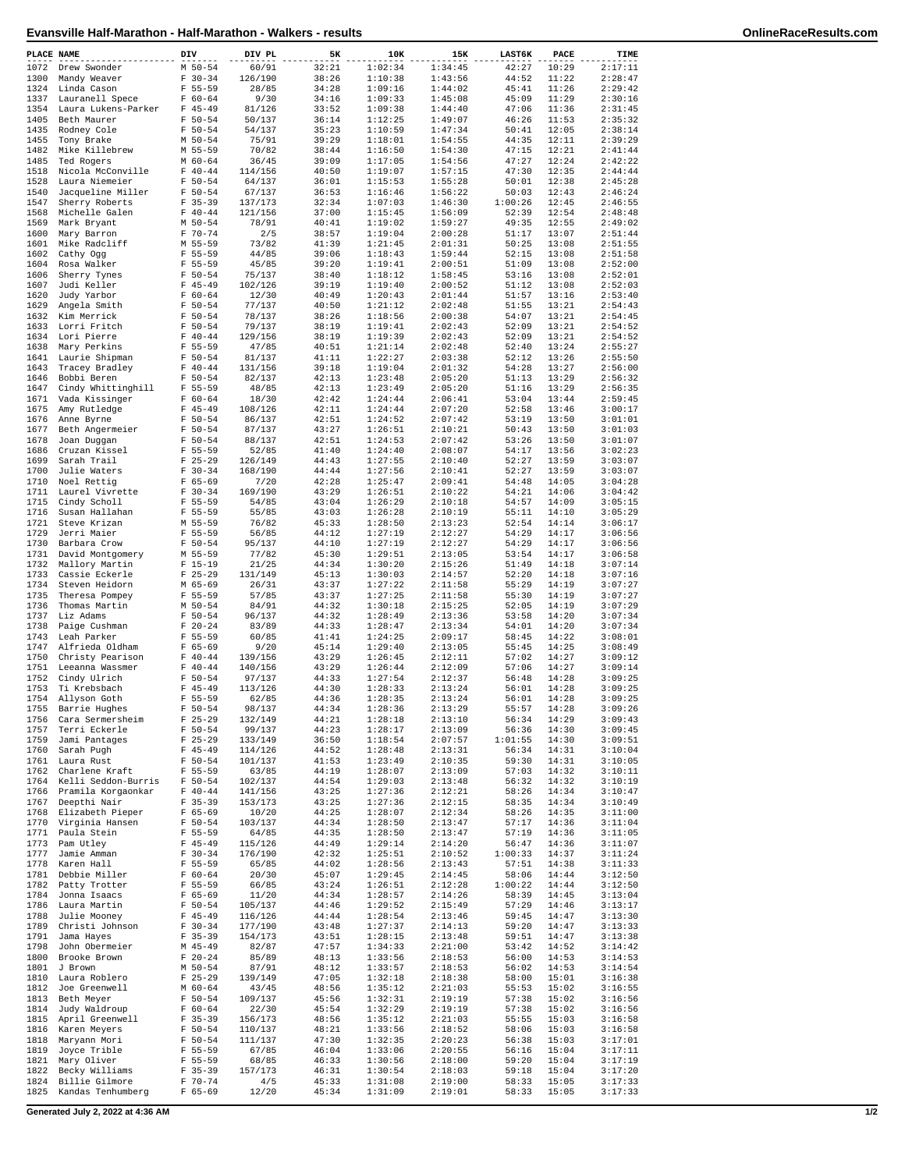| PLACE NAME   |                                                 | DIV                        | DIV PL             | 5К             | 10K                | 15K                | <b>LAST6K</b>    | PACE           | TIME               |
|--------------|-------------------------------------------------|----------------------------|--------------------|----------------|--------------------|--------------------|------------------|----------------|--------------------|
| 1072         | Drew Swonder                                    | $M 50 - 54$                | 60/91              | 32:21          | 1:02:34            | 1:34:45            | 42:27            | 10:29          | 2:17:11            |
| 1300         | Mandy Weaver                                    | $F 30-34$                  | 126/190            | 38:26          | 1:10:38            | 1:43:56            | 44:52            | 11:22          | 2:28:47            |
| 1324<br>1337 | Linda Cason                                     | $F 55 - 59$<br>$F 60 - 64$ | 28/85              | 34:28<br>34:16 | 1:09:16<br>1:09:33 | 1:44:02<br>1:45:08 | 45:41<br>45:09   | 11:26<br>11:29 | 2:29:42<br>2:30:16 |
| 1354         | Lauranell Spece<br>Laura Lukens-Parker          | $F$ 45-49                  | 9/30<br>81/126     | 33:52          | 1:09:38            | 1:44:40            | 47:06            | 11:36          | 2:31:45            |
| 1405         | Beth Maurer                                     | $F 50 - 54$                | 50/137             | 36:14          | 1:12:25            | 1:49:07            | 46:26            | 11:53          | 2:35:32            |
| 1435         | Rodney Cole                                     | $F 50 - 54$                | 54/137             | 35:23          | 1:10:59            | 1:47:34            | 50:41            | 12:05          | 2:38:14            |
| 1455         | Tony Brake                                      | $M$ 50-54                  | 75/91              | 39:29          | 1:18:01            | 1:54:55            | 44:35            | 12:11          | 2:39:29            |
| 1482         | Mike Killebrew                                  | M 55-59                    | 70/82              | 38:44          | 1:16:50            | 1:54:30            | 47:15            | 12:21          | 2:41:44            |
| 1485<br>1518 | Ted Rogers<br>Nicola McConville                 | $M$ 60-64<br>$F 40 - 44$   | 36/45<br>114/156   | 39:09<br>40:50 | 1:17:05<br>1:19:07 | 1:54:56<br>1:57:15 | 47:27<br>47:30   | 12:24<br>12:35 | 2:42:22<br>2:44:44 |
| 1528         | Laura Niemeier                                  | $F 50 - 54$                | 64/137             | 36:01          | 1:15:53            | 1:55:28            | 50:01            | 12:38          | 2:45:28            |
| 1540         | Jacqueline Miller                               | $F 50 - 54$                | 67/137             | 36:53          | 1:16:46            | 1:56:22            | 50:03            | 12:43          | 2:46:24            |
| 1547         | Sherry Roberts                                  | $F$ 35-39                  | 137/173            | 32:34          | 1:07:03            | 1:46:30            | 1:00:26          | 12:45          | 2:46:55            |
| 1568         | Michelle Galen                                  | $F 40-44$                  | 121/156            | 37:00          | 1:15:45            | 1:56:09            | 52:39            | 12:54          | 2:48:48<br>2:49:02 |
| 1569<br>1600 | Mark Bryant<br>Mary Barron                      | $M$ 50-54<br>$F 70 - 74$   | 78/91<br>2/5       | 40:41<br>38:57 | 1:19:02<br>1:19:04 | 1:59:27<br>2:00:28 | 49:35<br>51:17   | 12:55<br>13:07 | 2:51:44            |
| 1601         | Mike Radcliff                                   | M 55-59                    | 73/82              | 41:39          | 1:21:45            | 2:01:31            | 50:25            | 13:08          | 2:51:55            |
| 1602         | Cathy Ogg                                       | $F 55 - 59$                | 44/85              | 39:06          | 1:18:43            | 1:59:44            | 52:15            | 13:08          | 2:51:58            |
| 1604         | Rosa Walker                                     | $F 55 - 59$                | 45/85              | 39:20          | 1:19:41            | 2:00:51            | 51:09            | 13:08          | 2:52:00            |
| 1606         | Sherry Tynes                                    | $F 50 - 54$                | 75/137             | 38:40          | 1:18:12            | 1:58:45            | 53:16            | 13:08          | 2:52:01            |
| 1607<br>1620 | Judi Keller<br>Judy Yarbor                      | $F$ 45-49<br>$F 60 - 64$   | 102/126<br>12/30   | 39:19<br>40:49 | 1:19:40<br>1:20:43 | 2:00:52<br>2:01:44 | 51:12<br>51:57   | 13:08<br>13:16 | 2:52:03<br>2:53:40 |
| 1629         | Angela Smith                                    | $F 50 - 54$                | 77/137             | 40:50          | 1:21:12            | 2:02:48            | 51:55            | 13:21          | 2:54:43            |
| 1632         | Kim Merrick                                     | $F 50 - 54$                | 78/137             | 38:26          | 1:18:56            | 2:00:38            | 54:07            | 13:21          | 2:54:45            |
| 1633         | Lorri Fritch                                    | $F 50 - 54$                | 79/137             | 38:19          | 1:19:41            | 2:02:43            | 52:09            | 13:21          | 2:54:52            |
| 1634         | Lori Pierre                                     | $F 40 - 44$                | 129/156            | 38:19          | 1:19:39            | 2:02:43            | 52:09            | 13:21          | 2:54:52            |
| 1638<br>1641 | Mary Perkins<br>Laurie Shipman                  | $F 55 - 59$<br>$F 50 - 54$ | 47/85<br>81/137    | 40:51<br>41:11 | 1:21:14<br>1:22:27 | 2:02:48<br>2:03:38 | 52:40<br>52:12   | 13:24<br>13:26 | 2:55:27<br>2:55:50 |
| 1643         | Tracey Bradley                                  | $F 40 - 44$                | 131/156            | 39:18          | 1:19:04            | 2:01:32            | 54:28            | 13:27          | 2:56:00            |
| 1646         | Bobbi Beren                                     | $F 50 - 54$                | 82/137             | 42:13          | 1:23:48            | 2:05:20            | 51:13            | 13:29          | 2:56:32            |
| 1647         | Cindy Whittinghill                              | $F 55 - 59$                | 48/85              | 42:13          | 1:23:49            | 2:05:20            | 51:16            | 13:29          | 2:56:35            |
| 1671         | Vada Kissinger                                  | $F 60 - 64$                | 18/30              | 42:42          | 1:24:44            | 2:06:41            | 53:04            | 13:44          | 2:59:45            |
| 1675         | Amy Rutledge                                    | $F$ 45-49                  | 108/126            | 42:11          | 1:24:44            | 2:07:20            | 52:58            | 13:46          | 3:00:17            |
| 1676<br>1677 | Anne Byrne<br>Beth Angermeier                   | $F 50 - 54$<br>$F 50 - 54$ | 86/137<br>87/137   | 42:51<br>43:27 | 1:24:52<br>1:26:51 | 2:07:42<br>2:10:21 | 53:19<br>50:43   | 13:50<br>13:50 | 3:01:01<br>3:01:03 |
| 1678         | Joan Duqqan                                     | $F 50 - 54$                | 88/137             | 42:51          | 1:24:53            | 2:07:42            | 53:26            | 13:50          | 3:01:07            |
| 1686         | Cruzan Kissel                                   | $F 55 - 59$                | 52/85              | 41:40          | 1:24:40            | 2:08:07            | 54:17            | 13:56          | 3:02:23            |
| 1699         | Sarah Trail                                     | $F$ 25-29                  | 126/149            | 44:43          | 1:27:55            | 2:10:40            | 52:27            | 13:59          | 3:03:07            |
| 1700         | Julie Waters                                    | $F 30-34$                  | 168/190            | 44:44          | 1:27:56            | 2:10:41            | 52:27            | 13:59          | 3:03:07            |
| 1710<br>1711 | Noel Rettig<br>Laurel Vivrette                  | $F 65 - 69$<br>$F 30-34$   | 7/20<br>169/190    | 42:28<br>43:29 | 1:25:47<br>1:26:51 | 2:09:41<br>2:10:22 | 54:48<br>54:21   | 14:05<br>14:06 | 3:04:28<br>3:04:42 |
| 1715         | Cindy Scholl                                    | $F 55 - 59$                | 54/85              | 43:04          | 1:26:29            | 2:10:18            | 54:57            | 14:09          | 3:05:15            |
| 1716         | Susan Hallahan                                  | $F 55 - 59$                | 55/85              | 43:03          | 1:26:28            | 2:10:19            | 55:11            | 14:10          | 3:05:29            |
| 1721         | Steve Krizan                                    | M 55-59                    | 76/82              | 45:33          | 1:28:50            | 2:13:23            | 52:54            | 14:14          | 3:06:17            |
| 1729         | Jerri Maier                                     | $F 55 - 59$                | 56/85              | 44:12          | 1:27:19            | 2:12:27            | 54:29            | 14:17          | 3:06:56            |
| 1730<br>1731 | Barbara Crow<br>David Montgomery                | $F 50 - 54$<br>M 55-59     | 95/137<br>77/82    | 44:10<br>45:30 | 1:27:19<br>1:29:51 | 2:12:27<br>2:13:05 | 54:29<br>53:54   | 14:17<br>14:17 | 3:06:56<br>3:06:58 |
| 1732         | Mallory Martin                                  | $F 15-19$                  | 21/25              | 44:34          | 1:30:20            | 2:15:26            | 51:49            | 14:18          | 3:07:14            |
| 1733         | Cassie Eckerle                                  | $F$ 25-29                  | 131/149            | 45:13          | 1:30:03            | 2:14:57            | 52:20            | 14:18          | 3:07:16            |
| 1734         | Steven Heidorn                                  | M 65-69                    | 26/31              | 43:37          | 1:27:22            | 2:11:58            | 55:29            | 14:19          | 3:07:27            |
| 1735         | Theresa Pompey                                  | $F 55 - 59$                | 57/85              | 43:37          | 1:27:25            | 2:11:58            | 55:30            | 14:19          | 3:07:27            |
| 1736<br>1737 | Thomas Martin<br>Liz Adams                      | $M$ 50-54<br>$F 50 - 54$   | 84/91              | 44:32<br>44:32 | 1:30:18            | 2:15:25            | 52:05<br>53:58   | 14:19<br>14:20 | 3:07:29<br>3:07:34 |
| 1738         | Paige Cushman                                   | $F 20 - 24$                | 96/137<br>83/89    | 44:33          | 1:28:49<br>1:28:47 | 2:13:36<br>2:13:34 | 54:01            | 14:20          | 3:07:34            |
| 1743         | Leah Parker                                     | $F 55 - 59$                | 60/85              | 41:41          | 1:24:25            | 2:09:17            | 58:45            | 14:22          | 3:08:01            |
| 1747         | Alfrieda Oldham                                 | $F 65 - 69$                | 9/20               | 45:14          | 1:29:40            | 2:13:05            | 55:45            | 14:25          | 3:08:49            |
| 1750         | Christy Pearison                                | $F 40 - 44$                | 139/156            | 43:29          | 1:26:45            | 2:12:11            | 57:02            | 14:27          | 3:09:12            |
| 1751<br>1752 | Leeanna Wassmer<br>Cindy Ulrich                 | $F 40 - 44$<br>$F 50 - 54$ | 140/156<br>97/137  | 43:29<br>44:33 | 1:26:44<br>1:27:54 | 2:12:09<br>2:12:37 | 57:06<br>56:48   | 14:27<br>14:28 | 3:09:14<br>3:09:25 |
| 1753         | Ti Krebsbach                                    | $F$ 45-49                  | 113/126            | 44:30          | 1:28:33            | 2:13:24            | 56:01            | 14:28          | 3:09:25            |
| 1754         | Allyson Goth                                    | $F 55 - 59$                | 62/85              | 44:36          | 1:28:35            | 2:13:24            | 56:01            | 14:28          | 3:09:25            |
| 1755         | Barrie Hughes                                   | $F 50-54$                  | 98/137             | 44:34          | 1:28:36            | 2:13:29            | 55:57            | 14:28          | 3:09:26            |
|              | 1756 Cara Sermersheim                           | $F$ 25-29                  | 132/149            | 44:21          | 1:28:18            | 2:13:10            | 56:34            | 14:29          | 3:09:43            |
| 1757<br>1759 | Terri Eckerle<br>Jami Pantages                  | $F 50-54$<br>$F$ 25-29     | 99/137<br>133/149  | 44:23<br>36:50 | 1:28:17<br>1:18:54 | 2:13:09<br>2:07:57 | 56:36<br>1:01:55 | 14:30<br>14:30 | 3:09:45<br>3:09:51 |
|              | 1760 Sarah Pugh                                 | $F$ 45-49                  | 114/126            | 44:52          | 1:28:48            | 2:13:31            | 56:34            | 14:31          | 3:10:04            |
|              | 1761 Laura Rust                                 | F 50-54                    | 101/137            | 41:53          | 1:23:49            | 2:10:35            | 59:30            | 14:31          | 3:10:05            |
| 1762         | Charlene Kraft                                  | F 55-59                    | 63/85              | 44:19          | 1:28:07            | 2:13:09            | 57:03            | 14:32          | 3:10:11            |
|              | 1764 Kelli Seddon-Burris F 50-54                |                            | 102/137            | 44:54          | 1:29:03            | 2:13:48            | 56:32            | 14:32          | 3:10:19            |
| 1766         | Pramila Korgaonkar F 40-44<br>1767 Deepthi Nair | $F$ 35-39                  | 141/156<br>153/173 | 43:25<br>43:25 | 1:27:36<br>1:27:36 | 2:12:21<br>2:12:15 | 58:26<br>58:35   | 14:34<br>14:34 | 3:10:47<br>3:10:49 |
|              | 1768 Elizabeth Pieper                           | $F$ 65-69                  | 10/20              | 44:25          | 1:28:07            | 2:12:34            | 58:26            | 14:35          | 3:11:00            |
|              | 1770 Virginia Hansen                            | F 50-54                    | 103/137            | 44:34          | 1:28:50            | 2:13:47            | 57:17            | 14:36          | 3:11:04            |
|              | 1771 Paula Stein                                | F 55-59                    | 64/85              | 44:35          | 1:28:50            | 2:13:47            | 57:19            | 14:36          | 3:11:05            |
|              | 1773 Pam Utley                                  | $F$ 45-49                  | 115/126            | 44:49          | 1:29:14            | 2:14:20            | 56:47            | 14:36          | 3:11:07            |
| 1777<br>1778 | Jamie Amman<br>Karen Hall                       | $F 30-34$<br>F 55-59       | 176/190<br>65/85   | 42:32<br>44:02 | 1:25:51<br>1:28:56 | 2:10:52<br>2:13:43 | 1:00:33<br>57:51 | 14:37<br>14:38 | 3:11:24<br>3:11:33 |
|              | 1781 Debbie Miller                              | $F 60-64$                  | 20/30              | 45:07          | 1:29:45            | 2:14:45            | 58:06            | 14:44          | 3:12:50            |
|              | 1782 Patty Trotter                              | F 55-59                    | 66/85              | 43:24          | 1:26:51            | 2:12:28            | 1:00:22          | 14:44          | 3:12:50            |
|              | 1784 Jonna Isaacs                               | $F 65-69$                  | 11/20              | 44:34          | 1:28:57            | 2:14:26            | 58:39            | 14:45          | 3:13:04            |
|              | 1786 Laura Martin                               | F 50-54                    | 105/137            | 44:46          | 1:29:52            | 2:15:49            | 57:29            | 14:46          | 3:13:17            |
| 1788         | Julie Mooney<br>1789 Christi Johnson            | $F$ 45-49<br>$F 30-34$     | 116/126<br>177/190 | 44:44<br>43:48 | 1:28:54<br>1:27:37 | 2:13:46<br>2:14:13 | 59:45<br>59:20   | 14:47<br>14:47 | 3:13:30<br>3:13:33 |
|              | 1791 Jama Hayes                                 | $F$ 35-39                  | 154/173            | 43:51          | 1:28:15            | 2:13:48            | 59:51            | 14:47          | 3:13:38            |
| 1798         | John Obermeier                                  | M 45-49                    | 82/87              | 47:57          | 1:34:33            | 2:21:00            | 53:42            | 14:52          | 3:14:42            |
| 1800         | Brooke Brown                                    | $F$ 20-24                  | 85/89              | 48:13          | 1:33:56            | 2:18:53            | 56:00            | 14:53          | 3:14:53            |
|              | 1801 J Brown                                    | $M$ 50-54                  | 87/91              | 48:12          | 1:33:57            | 2:18:53            | 56:02            | 14:53          | 3:14:54            |
| 1810<br>1812 | Laura Roblero<br>Joe Greenwell                  | $F$ 25-29<br>$M$ 60-64     | 139/149<br>43/45   | 47:05<br>48:56 | 1:32:18<br>1:35:12 | 2:18:38<br>2:21:03 | 58:00<br>55:53   | 15:01<br>15:02 | 3:16:38<br>3:16:55 |
|              | 1813 Beth Meyer                                 | F 50-54                    | 109/137            | 45:56          | 1:32:31            | 2:19:19            | 57:38            | 15:02          | 3:16:56            |
| 1814         | Judy Waldroup                                   | $F 60-64$                  | 22/30              | 45:54          | 1:32:29            | 2:19:19            | 57:38            | 15:02          | 3:16:56            |
| 1815         | April Greenwell                                 | $F$ 35-39                  | 156/173            | 48:56          | 1:35:12            | 2:21:03            | 55:55            | 15:03          | 3:16:58            |
|              | 1816 Karen Meyers                               | F 50-54                    | 110/137            | 48:21          | 1:33:56            | 2:18:52            | 58:06            | 15:03          | 3:16:58            |
| 1819         | 1818 Maryann Mori<br>Joyce Trible               | F 50-54<br>F 55-59         | 111/137<br>67/85   | 47:30<br>46:04 | 1:32:35<br>1:33:06 | 2:20:23<br>2:20:55 | 56:38<br>56:16   | 15:03<br>15:04 | 3:17:01<br>3:17:11 |
|              | 1821 Mary Oliver                                | F 55-59                    | 68/85              | 46:33          | 1:30:56            | 2:18:00            | 59:20            | 15:04          | 3:17:19            |
| 1822         | Becky Williams                                  | $F$ 35-39                  | 157/173            | 46:31          | 1:30:54            | 2:18:03            | 59:18            | 15:04          | 3:17:20            |
| 1824         | Billie Gilmore                                  | F 70-74                    | 4/5                | 45:33          | 1:31:08            | 2:19:00            | 58:33            | 15:05          | 3:17:33            |
| 1825         | Kandas Tenhumberg                               | $F 65 - 69$                | 12/20              | 45:34          | 1:31:09            | 2:19:01            | 58:33            | 15:05          | 3:17:33            |